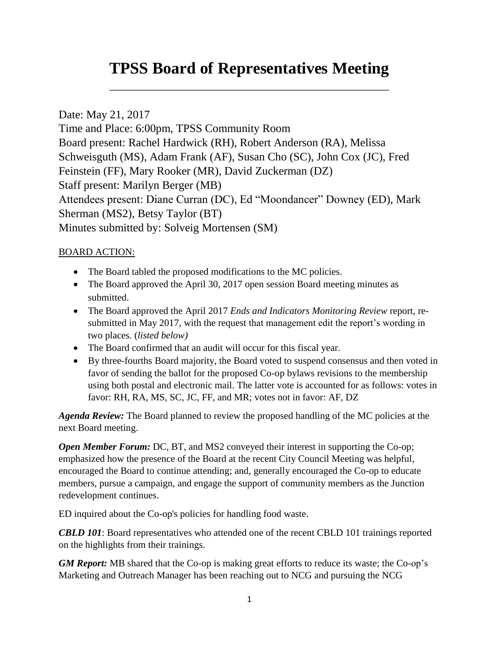## **TPSS Board of Representatives Meeting**

\_\_\_\_\_\_\_\_\_\_\_\_\_\_\_\_\_\_\_\_\_\_\_\_\_\_\_\_\_\_\_\_\_\_\_\_\_\_\_\_\_\_\_\_\_\_\_\_\_

Date: May 21, 2017 Time and Place: 6:00pm, TPSS Community Room Board present: Rachel Hardwick (RH), Robert Anderson (RA), Melissa Schweisguth (MS), Adam Frank (AF), Susan Cho (SC), John Cox (JC), Fred Feinstein (FF), Mary Rooker (MR), David Zuckerman (DZ) Staff present: Marilyn Berger (MB) Attendees present: Diane Curran (DC), Ed "Moondancer" Downey (ED), Mark Sherman (MS2), Betsy Taylor (BT) Minutes submitted by: Solveig Mortensen (SM)

## BOARD ACTION:

- The Board tabled the proposed modifications to the MC policies.
- The Board approved the April 30, 2017 open session Board meeting minutes as submitted.
- The Board approved the April 2017 *Ends and Indicators Monitoring Review* report, resubmitted in May 2017, with the request that management edit the report's wording in two places. (*listed below)*
- The Board confirmed that an audit will occur for this fiscal year.
- By three-fourths Board majority, the Board voted to suspend consensus and then voted in favor of sending the ballot for the proposed Co-op bylaws revisions to the membership using both postal and electronic mail. The latter vote is accounted for as follows: votes in favor: RH, RA, MS, SC, JC, FF, and MR; votes not in favor: AF, DZ

*Agenda Review:* The Board planned to review the proposed handling of the MC policies at the next Board meeting.

*Open Member Forum:* DC, BT, and MS2 conveyed their interest in supporting the Co-op; emphasized how the presence of the Board at the recent City Council Meeting was helpful, encouraged the Board to continue attending; and, generally encouraged the Co-op to educate members, pursue a campaign, and engage the support of community members as the Junction redevelopment continues.

ED inquired about the Co-op's policies for handling food waste.

*CBLD 101*: Board representatives who attended one of the recent CBLD 101 trainings reported on the highlights from their trainings.

*GM Report:* MB shared that the Co-op is making great efforts to reduce its waste; the Co-op's Marketing and Outreach Manager has been reaching out to NCG and pursuing the NCG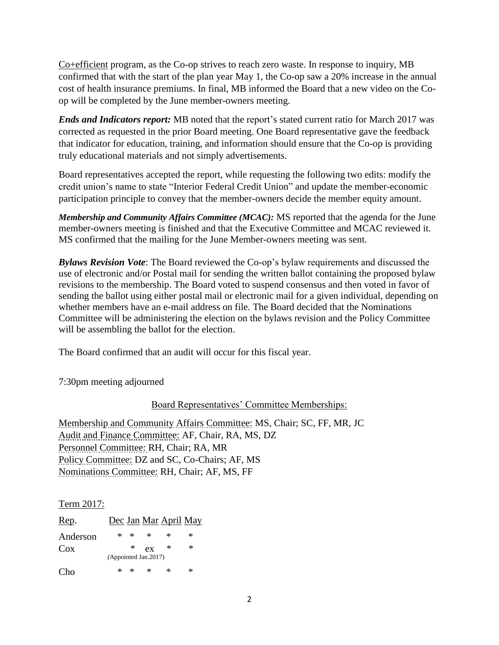[Co+efficient](mailto:http://www.grocer.coop/articles/national-coop-grocers-recognizes-coefficient-sustainability-stars) program, as the Co-op strives to reach zero waste. In response to inquiry, MB confirmed that with the start of the plan year May 1, the Co-op saw a 20% increase in the annual cost of health insurance premiums. In final, MB informed the Board that a new video on the Coop will be completed by the June member-owners meeting.

*Ends and Indicators report:* MB noted that the report's stated current ratio for March 2017 was corrected as requested in the prior Board meeting. One Board representative gave the feedback that indicator for education, training, and information should ensure that the Co-op is providing truly educational materials and not simply advertisements.

Board representatives accepted the report, while requesting the following two edits: modify the credit union's name to state "Interior Federal Credit Union" and update the member-economic participation principle to convey that the member-owners decide the member equity amount.

*Membership and Community Affairs Committee (MCAC):* MS reported that the agenda for the June member-owners meeting is finished and that the Executive Committee and MCAC reviewed it. MS confirmed that the mailing for the June Member-owners meeting was sent.

*Bylaws Revision Vote*: The Board reviewed the Co-op's bylaw requirements and discussed the use of electronic and/or Postal mail for sending the written ballot containing the proposed bylaw revisions to the membership. The Board voted to suspend consensus and then voted in favor of sending the ballot using either postal mail or electronic mail for a given individual, depending on whether members have an e-mail address on file. The Board decided that the Nominations Committee will be administering the election on the bylaws revision and the Policy Committee will be assembling the ballot for the election.

The Board confirmed that an audit will occur for this fiscal year.

7:30pm meeting adjourned

Board Representatives' Committee Memberships:

Membership and Community Affairs Committee: MS, Chair; SC, FF, MR, JC Audit and Finance Committee: AF, Chair, RA, MS, DZ Personnel Committee: RH, Chair; RA, MR Policy Committee: DZ and SC, Co-Chairs; AF, MS Nominations Committee: RH, Chair; AF, MS, FF

Term 2017:

| Rep.     |                      |        |    | Dec Jan Mar April May |   |
|----------|----------------------|--------|----|-----------------------|---|
| Anderson |                      | $* *$  | ∗  | ж                     | * |
| $\cos$   |                      | $\ast$ | ex | $\ast$                | ∗ |
|          | (Appointed Jan.2017) |        |    |                       |   |
| Cho      |                      | $* *$  | ∗  | *                     | * |